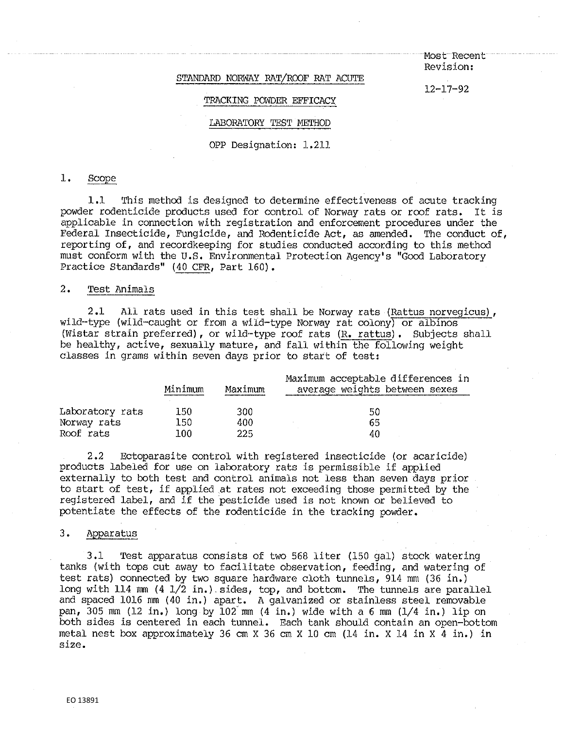· Most-Recent **Revision:** 

12-17-92

### STANDARD NORWAY RAT/ROOF RAT ACUTE

#### TRACKING POWDER EFFICACY

### LABORATORY TEST METHOD

OPP Designation: 1.211

## 1. Scope

1.1 This method is designed to determine effectiveness of acute tracking powder rodenticide products used for control of Norway rats or roof rats. It is applicable in connection with registration and enforcement procedures under the Federal Insecticide, Fungicide, and Rodenticide Act, as amended. The conduct of, reporting of, and recordkeeping for studies conducted according to this method must conform with the U.S. Environmental Protection Agency's "Good Laboratory Practice Standards" (40 CFR, Part 160).

## 2. Test Animals

2.1 All rats used in this test shall be Norway rats (Rattus norvegicus), wild-type (wild-caught or from a wild-type Norway rat colony) or albinos (Wistar strain preferred), or wild-type roof rats (R. rattus). Subjects shall be healthy, active, sexually mature, and fall within the following weight classes in grams within seven days prior to start of test:

|                 | Minimum | Maximum | Maximum acceptable differences in<br>average weights between sexes |
|-----------------|---------|---------|--------------------------------------------------------------------|
| Laboratory rats | 150     | 300     | 50                                                                 |
| Norway rats     | 150     | 400     | 65                                                                 |
| Roof rats       | 100     | 225     | 40                                                                 |

2.2 Ectoparasite control with registered insecticide (or acaricide) products labeled for use on laboratory rats is permissible if applied externally to both test and control animals not less than seven days prior to start of test, if applied at rates not exceeding those permitted by the registered label, and if the pesticide used is not known or believed to potentiate the effects of the rodenticide in the tracking powder.

## 3. Apparatus

3.1 Test apparatus consists of two 568 liter (150 gal) stock watering tanks (with tops cut away to facilitate observation, feeding, and watering of test rats) connected by two square hardware cloth tunnels, 914 mm (36 in.) long with 114 mm  $(4 \frac{1}{2} \text{ in.})$  sides, top, and bottom. The tunnels are parallel and spaced 1016 mm (40 in.) apart. A galvanized or stainless steel removable pan, 305 mm (12 in.) long by 102'mm (4 in.) wide with a 6 mm (1/4 in,) lip on both sides is centered in each tunnel. Each tank should contain an open-bottom metal nest box approximately 36 cm X 36 cm X 10 cm (14 in. X 14 in X 4 in.) in **size.**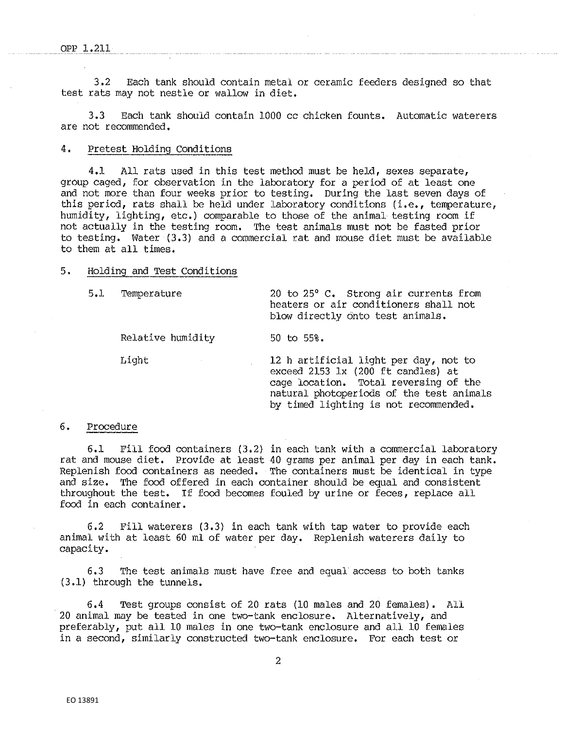3.2 Each tank should contain metal or ceramic feeders designed so that test rats may not nestle or wallow in diet,

3.3 Each tank should contain 1000 cc chicken founts. Automatic waterers are not recommended.

### 4. Pretest Holding Conditions

4,1 All rats used in this test method must be held, sexes separate, group caged, for observation in the laboratory for a period of at least one and not more than four weeks prior to testing, During the last seven days of this period, rats shall be held under laboratory conditions (i.e., temperature, humidity, lighting, etc,) comparable to those of the animal testing room if not actually in the testing room, The test animals must not be fasted prior to testing. Water (3,3) and a commercial rat and mouse diet must be available to them at all times,

## 5. Holding and Test Conditions

5,1 Temperature 20 to 25° c. Strong air currents from

blow directly onto test animals. Relative humidity 50 to 55%.

heaters or air conditioners shall not

Light 12 h artificial light per day, not to exceed 2153 lx (200 ft candles) at cage location, Total reversing of the natural photoperiods of the test animals by timed lighting is not recommended.

### 6. Procedure

6,1 Fill food containers (3,2) in each tank with a commercial laboratory rat and mouse diet, Provide at least 40 grams per animal per day in each tank. Replenish food containers as needed, The containers must be identical in type and size, The food offered in each container should be equal and consistent throughout the test. If food becomes fouled by urine or feces, replace all food in each container.

6. 2 Fill waterers ( 3. 3) in each tank with tap water to provide each animal with at least 60 ml of water per day, Replenish waterers daily to capacity.

6.3 The test animals must have free and equal access to both tanks (3.1) through the tunnels,

6,4 Test groups consist of 20 rats (10 males and 20 females). All 20 animal may be tested in one two-tank enclosure. Alternatively, and preferably, put all 10 males in one two-tank enclosure and all 10 females in a second, similarly constructed two-tank enclosure, For each test or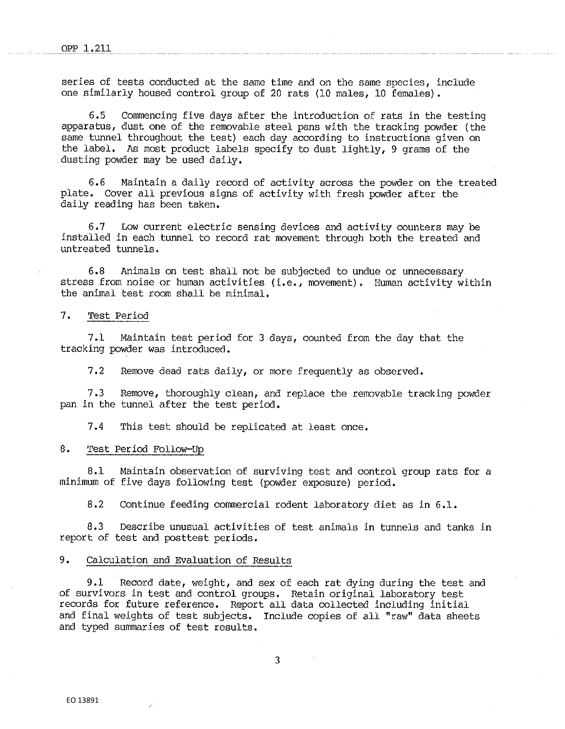series of tests conducted at the same time and on the same species, include one similarly housed control group of 20 rats (10 males, 10 females).

6.5 Commencing five days after the introduction of rats in the testing apparatus, dust one of the removable steel pans with the tracking powder (the same tunnel throughout the test) each day according to instructions given on the label. As most product labels specify to dust lightly, 9 grams of the dusting powder may be used daily,

6,6 Maintain a daily record of activity across the powder on the treated plate, Cover all previous signs of activity with fresh powder after the daily reading has been taken,

6.7 Low current electric sensing devices and activity counters may be installed in each tunnel to record rat movement through both the treated and untreated tunnels.

6.8 Animals on test shall not be subjected to undue or unnecessary stress from noise or human activities (i.e., movement). Human activity within the animal test room shall be minimal.

# 7. Test Period

7,1 Maintain test period for 3 days, counted from the day that the tracking powder was introduced.

7.2 Remove dead rats daily, or more frequently as observed.

7.3 Remove, thoroughly clean, and replace the removable tracking powder pan in the tunnel after the test period.

7.4 This test should be replicated at least once.

### 8. Test Period Follow-Up

8.1 Maintain observation of surviving test and control. group rats for a minimum of five days following test (powder exposure) period.

8.2 Continue feeding commercial rodent laboratory diet as in 6.1.

8.3 Describe unusual activities of test animals in tunnels and tanks in report of test and posttest periods.

## 9. Calculation and Evaluation of Results

9.1 Record date, weight, and sex of each rat dying during the test and of survivors in test and control groups. Retain original laboratory test records for future reference. Report all data collected including initial and final weights of test subjects. Include copies of all "raw" data sheets and typed summaries of test results.

3